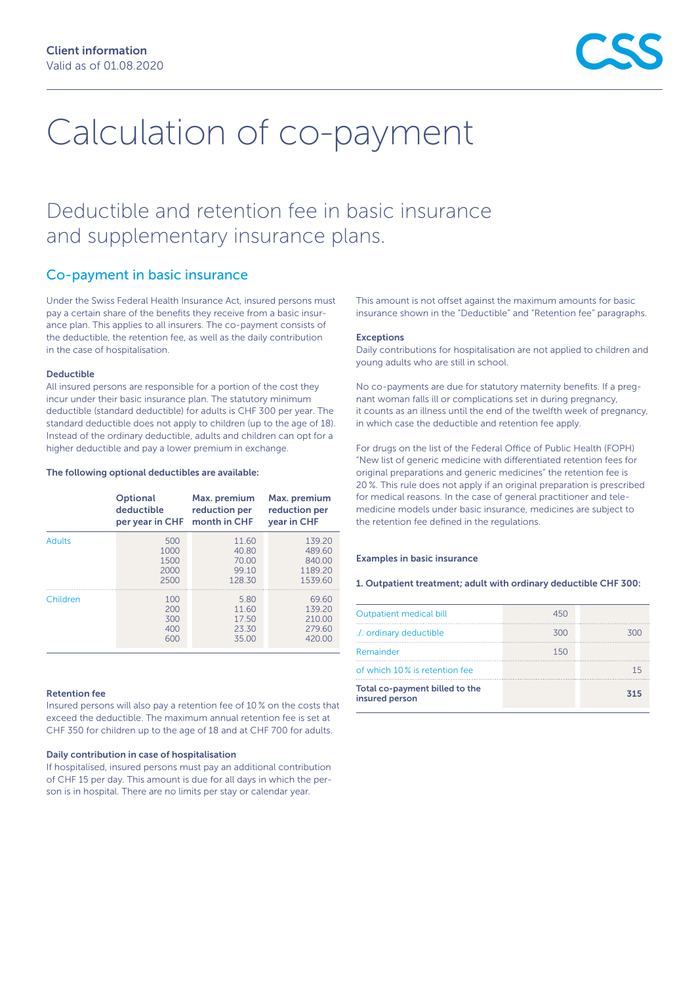# Calculation of co-payment

# Deductible and retention fee in basic insurance and supplementary insurance plans.

### Co-payment in basic insurance

Under the Swiss Federal Health Insurance Act, insured persons must pay a certain share of the benefits they receive from a basic insurance plan. This applies to all insurers. The co-payment consists of the deductible, the retention fee, as well as the daily contribution in the case of hospitalisation.

#### Deductible

All insured persons are responsible for a portion of the cost they incur under their basic insurance plan. The statutory minimum deductible (standard deductible) for adults is CHF 300 per year. The standard deductible does not apply to children (up to the age of 18). Instead of the ordinary deductible, adults and children can opt for a higher deductible and pay a lower premium in exchange.

#### The following optional deductibles are available:

|               | <b>Optional</b> | Max. premium  | Max. premium  |
|---------------|-----------------|---------------|---------------|
|               | deductible      | reduction per | reduction per |
|               | per year in CHF | month in CHF  | year in CHF   |
| <b>Adults</b> | 500             | 11.60         | 139.20        |
|               | 1000            | 40.80         | 489.60        |
|               | 1500            | 70.00         | 840.00        |
|               | 2000            | 99.10         | 1189.20       |
|               | 2500            | 128.30        | 1539.60       |
| Children      | 100             | 5.80          | 69.60         |
|               | 200             | 11.60         | 139.20        |
|               | 300             | 17.50         | 210.00        |
|               | 400             | 23.30         | 279.60        |
|               | 600             | 35.00         | 420.00        |

#### Retention fee

Insured persons will also pay a retention fee of 10 % on the costs that exceed the deductible. The maximum annual retention fee is set at CHF 350 for children up to the age of 18 and at CHF 700 for adults.

#### Daily contribution in case of hospitalisation

If hospitalised, insured persons must pay an additional contribution of CHF 15 per day. This amount is due for all days in which the person is in hospital. There are no limits per stay or calendar year.

This amount is not offset against the maximum amounts for basic insurance shown in the "Deductible" and "Retention fee" paragraphs.

#### **Exceptions**

Daily contributions for hospitalisation are not applied to children and young adults who are still in school.

No co-payments are due for statutory maternity benefits. If a pregnant woman falls ill or complications set in during pregnancy, it counts as an illness until the end of the twelfth week of pregnancy, in which case the deductible and retention fee apply.

For drugs on the list of the Federal Office of Public Health (FOPH) "New list of generic medicine with differentiated retention fees for original preparations and generic medicines" the retention fee is 20 %. This rule does not apply if an original preparation is prescribed for medical reasons. In the case of general practitioner and telemedicine models under basic insurance, medicines are subject to the retention fee defined in the regulations.

#### Examples in basic insurance

1. Outpatient treatment; adult with ordinary deductible CHF 300:

| Outpatient medical bill                          | 450 |     |
|--------------------------------------------------|-----|-----|
| ./. ordinary deductible                          | 300 | 300 |
| Remainder                                        | 150 |     |
| of which 10% is retention fee                    |     | 15  |
| Total co-payment billed to the<br>insured person |     | 315 |
|                                                  |     |     |